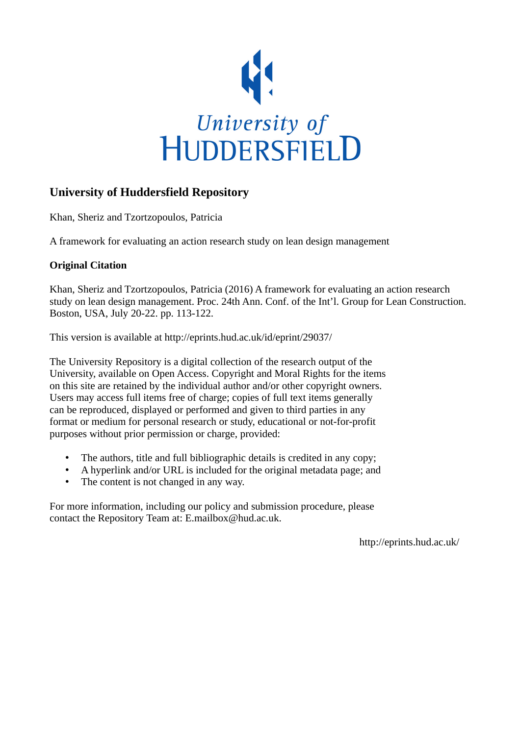

### **University of Huddersfield Repository**

Khan, Sheriz and Tzortzopoulos, Patricia

A framework for evaluating an action research study on lean design management

#### **Original Citation**

Khan, Sheriz and Tzortzopoulos, Patricia (2016) A framework for evaluating an action research study on lean design management. Proc. 24th Ann. Conf. of the Int'l. Group for Lean Construction. Boston, USA, July 20-22. pp. 113-122.

This version is available at http://eprints.hud.ac.uk/id/eprint/29037/

The University Repository is a digital collection of the research output of the University, available on Open Access. Copyright and Moral Rights for the items on this site are retained by the individual author and/or other copyright owners. Users may access full items free of charge; copies of full text items generally can be reproduced, displayed or performed and given to third parties in any format or medium for personal research or study, educational or not-for-profit purposes without prior permission or charge, provided:

- The authors, title and full bibliographic details is credited in any copy;
- A hyperlink and/or URL is included for the original metadata page; and
- The content is not changed in any way.

For more information, including our policy and submission procedure, please contact the Repository Team at: E.mailbox@hud.ac.uk.

http://eprints.hud.ac.uk/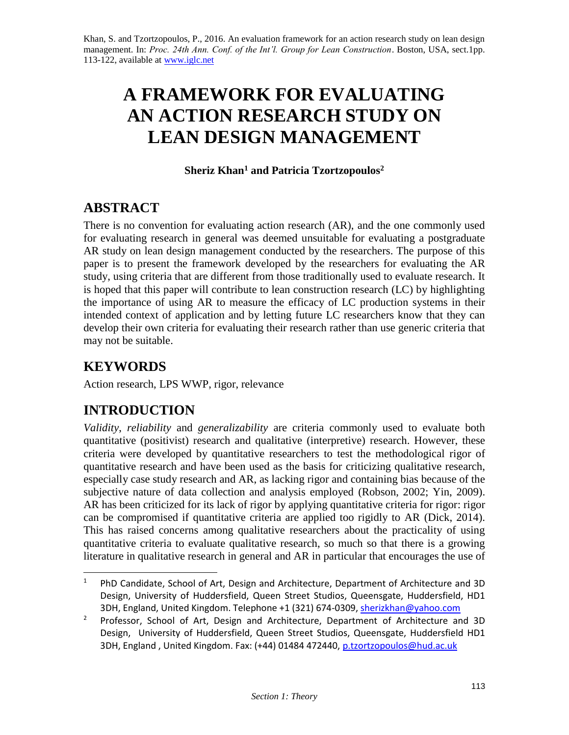Khan, S. and Tzortzopoulos, P., 2016. An evaluation framework for an action research study on lean design management. In: *Proc. 24th Ann. Conf. of the Int'l. Group for Lean Construction*. Boston, USA, sect.1pp. 113-122, available at [www.iglc.net](http://www.iglc.net/)

# **A FRAMEWORK FOR EVALUATING AN ACTION RESEARCH STUDY ON LEAN DESIGN MANAGEMENT**

#### **Sheriz Khan<sup>1</sup> and Patricia Tzortzopoulos<sup>2</sup>**

# **ABSTRACT**

There is no convention for evaluating action research (AR), and the one commonly used for evaluating research in general was deemed unsuitable for evaluating a postgraduate AR study on lean design management conducted by the researchers. The purpose of this paper is to present the framework developed by the researchers for evaluating the AR study, using criteria that are different from those traditionally used to evaluate research. It is hoped that this paper will contribute to lean construction research (LC) by highlighting the importance of using AR to measure the efficacy of LC production systems in their intended context of application and by letting future LC researchers know that they can develop their own criteria for evaluating their research rather than use generic criteria that may not be suitable.

# **KEYWORDS**

l

Action research, LPS WWP, rigor, relevance

# **INTRODUCTION**

*Validity*, *reliability* and *generalizability* are criteria commonly used to evaluate both quantitative (positivist) research and qualitative (interpretive) research. However, these criteria were developed by quantitative researchers to test the methodological rigor of quantitative research and have been used as the basis for criticizing qualitative research, especially case study research and AR, as lacking rigor and containing bias because of the subjective nature of data collection and analysis employed (Robson, 2002; Yin, 2009). AR has been criticized for its lack of rigor by applying quantitative criteria for rigor: rigor can be compromised if quantitative criteria are applied too rigidly to AR (Dick, 2014). This has raised concerns among qualitative researchers about the practicality of using quantitative criteria to evaluate qualitative research, so much so that there is a growing literature in qualitative research in general and AR in particular that encourages the use of

<sup>&</sup>lt;sup>1</sup> PhD Candidate, School of Art, Design and Architecture, Department of Architecture and 3D Design, University of Huddersfield, Queen Street Studios, Queensgate, Huddersfield, HD1 3DH, England, United Kingdom. Telephone +1 (321) 674-0309, [sherizkhan@yahoo.com](mailto:sherizkhan@yahoo.com) 

<sup>&</sup>lt;sup>2</sup> Professor, School of Art, Design and Architecture, Department of Architecture and 3D Design, University of Huddersfield, Queen Street Studios, Queensgate, Huddersfield HD1 3DH, England , United Kingdom. Fax: (+44) 01484 472440[, p.tzortzopoulos@hud.ac.uk](mailto:p.tzortzopoulos@hud.ac.uk)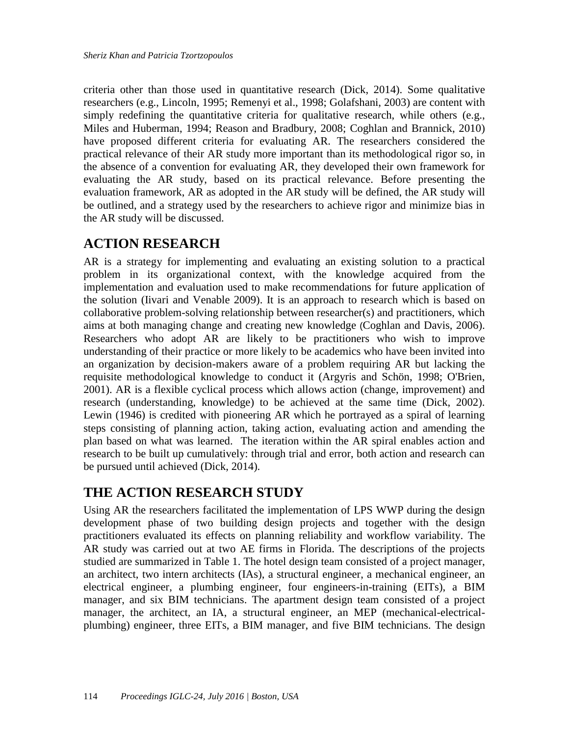criteria other than those used in quantitative research (Dick, 2014). Some qualitative researchers (e.g., Lincoln, 1995; Remenyi et al., 1998; Golafshani, 2003) are content with simply redefining the quantitative criteria for qualitative research, while others  $(e.g.,)$ Miles and Huberman, 1994; Reason and Bradbury, 2008; Coghlan and Brannick, 2010) have proposed different criteria for evaluating AR. The researchers considered the practical relevance of their AR study more important than its methodological rigor so, in the absence of a convention for evaluating AR, they developed their own framework for evaluating the AR study, based on its practical relevance. Before presenting the evaluation framework, AR as adopted in the AR study will be defined, the AR study will be outlined, and a strategy used by the researchers to achieve rigor and minimize bias in the AR study will be discussed.

# **ACTION RESEARCH**

AR is a strategy for implementing and evaluating an existing solution to a practical problem in its organizational context, with the knowledge acquired from the implementation and evaluation used to make recommendations for future application of the solution (Iivari and Venable 2009). It is an approach to research which is based on collaborative problem-solving relationship between researcher(s) and practitioners, which aims at both managing change and creating new knowledge (Coghlan and Davis, 2006). Researchers who adopt AR are likely to be practitioners who wish to improve understanding of their practice or more likely to be academics who have been invited into an organization by decision-makers aware of a problem requiring AR but lacking the requisite methodological knowledge to conduct it (Argyris and Schön, 1998; O'Brien, 2001). AR is a flexible cyclical process which allows action (change, improvement) and research (understanding, knowledge) to be achieved at the same time (Dick, 2002). Lewin (1946) is credited with pioneering AR which he portrayed as a spiral of learning steps consisting of planning action, taking action, evaluating action and amending the plan based on what was learned. The iteration within the AR spiral enables action and research to be built up cumulatively: through trial and error, both action and research can be pursued until achieved (Dick, 2014).

#### **THE ACTION RESEARCH STUDY**

Using AR the researchers facilitated the implementation of LPS WWP during the design development phase of two building design projects and together with the design practitioners evaluated its effects on planning reliability and workflow variability. The AR study was carried out at two AE firms in Florida. The descriptions of the projects studied are summarized in Table 1. The hotel design team consisted of a project manager, an architect, two intern architects (IAs), a structural engineer, a mechanical engineer, an electrical engineer, a plumbing engineer, four engineers-in-training (EITs), a BIM manager, and six BIM technicians. The apartment design team consisted of a project manager, the architect, an IA, a structural engineer, an MEP (mechanical-electricalplumbing) engineer, three EITs, a BIM manager, and five BIM technicians. The design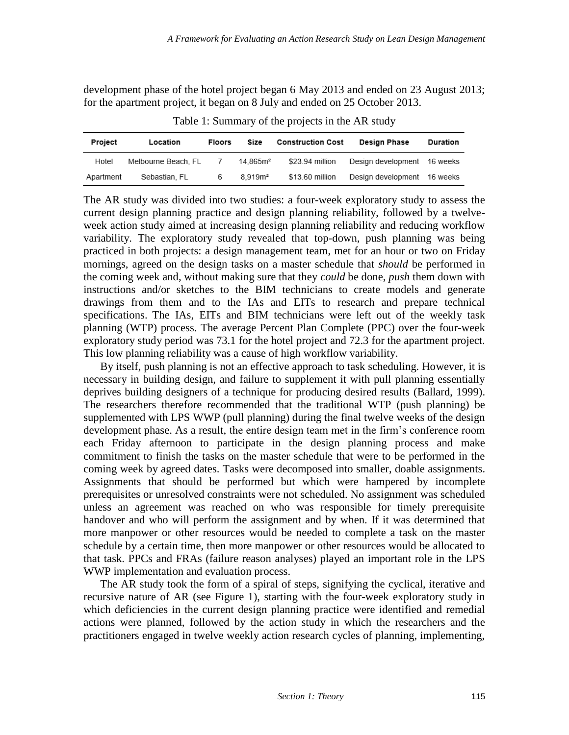development phase of the hotel project began 6 May 2013 and ended on 23 August 2013; for the apartment project, it began on 8 July and ended on 25 October 2013.

| Project   | Location            | <b>Floors</b> | Size                 | <b>Construction Cost</b> | Design Phase       | Duration |
|-----------|---------------------|---------------|----------------------|--------------------------|--------------------|----------|
| Hotel     | Melbourne Beach, FL |               | 14.865m <sup>2</sup> | \$23.94 million          | Design development | 16 weeks |
| Apartment | Sebastian, FL       | 6             | 8.919m <sup>2</sup>  | \$13.60 million          | Design development | 16 weeks |

Table 1: Summary of the projects in the AR study

The AR study was divided into two studies: a four-week exploratory study to assess the current design planning practice and design planning reliability, followed by a twelveweek action study aimed at increasing design planning reliability and reducing workflow variability. The exploratory study revealed that top-down, push planning was being practiced in both projects: a design management team, met for an hour or two on Friday mornings, agreed on the design tasks on a master schedule that *should* be performed in the coming week and, without making sure that they *could* be done, *push* them down with instructions and/or sketches to the BIM technicians to create models and generate drawings from them and to the IAs and EITs to research and prepare technical specifications. The IAs, EITs and BIM technicians were left out of the weekly task planning (WTP) process. The average Percent Plan Complete (PPC) over the four-week exploratory study period was 73.1 for the hotel project and 72.3 for the apartment project. This low planning reliability was a cause of high workflow variability.

By itself, push planning is not an effective approach to task scheduling. However, it is necessary in building design, and failure to supplement it with pull planning essentially deprives building designers of a technique for producing desired results (Ballard, 1999). The researchers therefore recommended that the traditional WTP (push planning) be supplemented with LPS WWP (pull planning) during the final twelve weeks of the design development phase. As a result, the entire design team met in the firm's conference room each Friday afternoon to participate in the design planning process and make commitment to finish the tasks on the master schedule that were to be performed in the coming week by agreed dates. Tasks were decomposed into smaller, doable assignments. Assignments that should be performed but which were hampered by incomplete prerequisites or unresolved constraints were not scheduled. No assignment was scheduled unless an agreement was reached on who was responsible for timely prerequisite handover and who will perform the assignment and by when. If it was determined that more manpower or other resources would be needed to complete a task on the master schedule by a certain time, then more manpower or other resources would be allocated to that task. PPCs and FRAs (failure reason analyses) played an important role in the LPS WWP implementation and evaluation process.

The AR study took the form of a spiral of steps, signifying the cyclical, iterative and recursive nature of AR (see Figure 1), starting with the four-week exploratory study in which deficiencies in the current design planning practice were identified and remedial actions were planned, followed by the action study in which the researchers and the practitioners engaged in twelve weekly action research cycles of planning, implementing,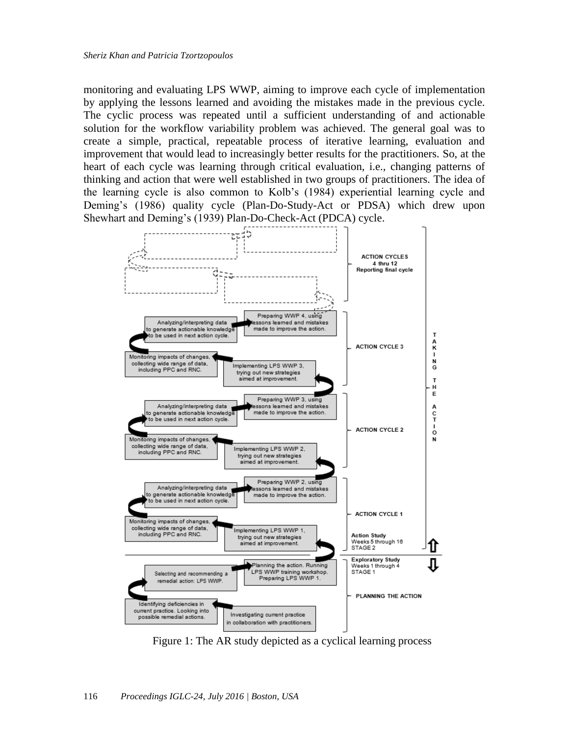monitoring and evaluating LPS WWP, aiming to improve each cycle of implementation by applying the lessons learned and avoiding the mistakes made in the previous cycle. The cyclic process was repeated until a sufficient understanding of and actionable solution for the workflow variability problem was achieved. The general goal was to create a simple, practical, repeatable process of iterative learning, evaluation and improvement that would lead to increasingly better results for the practitioners. So, at the heart of each cycle was learning through critical evaluation, i.e., changing patterns of thinking and action that were well established in two groups of practitioners. The idea of the learning cycle is also common to Kolb's (1984) experiential learning cycle and Deming's (1986) quality cycle (Plan-Do-Study-Act or PDSA) which drew upon Shewhart and Deming's (1939) Plan-Do-Check-Act (PDCA) cycle.



Figure 1: The AR study depicted as a cyclical learning process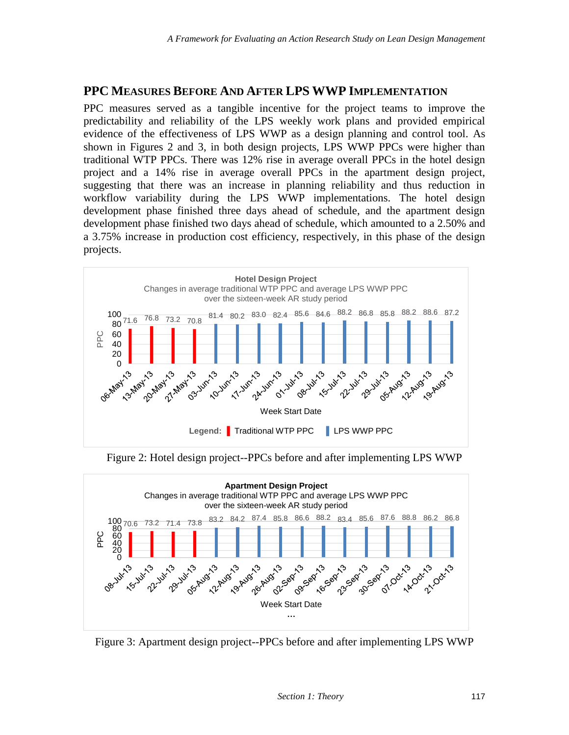#### **PPC MEASURES BEFORE AND AFTER LPS WWP IMPLEMENTATION**

PPC measures served as a tangible incentive for the project teams to improve the predictability and reliability of the LPS weekly work plans and provided empirical evidence of the effectiveness of LPS WWP as a design planning and control tool. As shown in Figures 2 and 3, in both design projects, LPS WWP PPCs were higher than traditional WTP PPCs. There was 12% rise in average overall PPCs in the hotel design project and a 14% rise in average overall PPCs in the apartment design project, suggesting that there was an increase in planning reliability and thus reduction in workflow variability during the LPS WWP implementations. The hotel design development phase finished three days ahead of schedule, and the apartment design development phase finished two days ahead of schedule, which amounted to a 2.50% and a 3.75% increase in production cost efficiency, respectively, in this phase of the design projects.



Figure 2: Hotel design project--PPCs before and after implementing LPS WWP



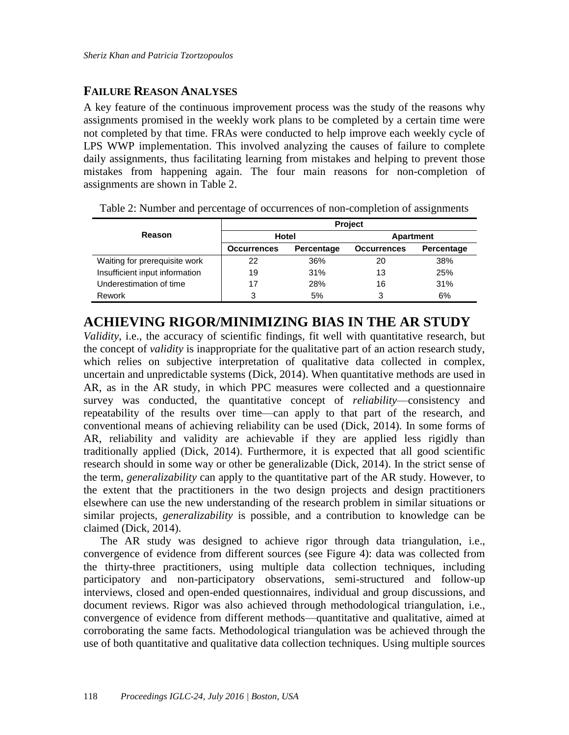#### **FAILURE REASON ANALYSES**

A key feature of the continuous improvement process was the study of the reasons why assignments promised in the weekly work plans to be completed by a certain time were not completed by that time. FRAs were conducted to help improve each weekly cycle of LPS WWP implementation. This involved analyzing the causes of failure to complete daily assignments, thus facilitating learning from mistakes and helping to prevent those mistakes from happening again. The four main reasons for non-completion of assignments are shown in Table 2.

|                                | <b>Project</b> |                   |                    |            |  |
|--------------------------------|----------------|-------------------|--------------------|------------|--|
| Reason                         | Hotel          |                   | Apartment          |            |  |
|                                | Occurrences    | <b>Percentage</b> | <b>Occurrences</b> | Percentage |  |
| Waiting for prerequisite work  | 22             | 36%               | 20                 | 38%        |  |
| Insufficient input information | 19             | 31%               | 13                 | 25%        |  |
| Underestimation of time        | 17             | 28%               | 16                 | 31%        |  |
| Rework                         | 3              | 5%                | 3                  | 6%         |  |

Table 2: Number and percentage of occurrences of non-completion of assignments

# **ACHIEVING RIGOR/MINIMIZING BIAS IN THE AR STUDY**

*Validity*, i.e., the accuracy of scientific findings, fit well with quantitative research, but the concept of *validity* is inappropriate for the qualitative part of an action research study, which relies on subjective interpretation of qualitative data collected in complex, uncertain and unpredictable systems (Dick, 2014). When quantitative methods are used in AR, as in the AR study, in which PPC measures were collected and a questionnaire survey was conducted, the quantitative concept of *reliability*—consistency and repeatability of the results over time—can apply to that part of the research, and conventional means of achieving reliability can be used (Dick, 2014). In some forms of AR, reliability and validity are achievable if they are applied less rigidly than traditionally applied (Dick, 2014). Furthermore, it is expected that all good scientific research should in some way or other be generalizable (Dick, 2014). In the strict sense of the term, *generalizability* can apply to the quantitative part of the AR study. However, to the extent that the practitioners in the two design projects and design practitioners elsewhere can use the new understanding of the research problem in similar situations or similar projects, *generalizability* is possible, and a contribution to knowledge can be claimed (Dick, 2014).

The AR study was designed to achieve rigor through data triangulation, i.e., convergence of evidence from different sources (see Figure 4): data was collected from the thirty-three practitioners, using multiple data collection techniques, including participatory and non-participatory observations, semi-structured and follow-up interviews, closed and open-ended questionnaires, individual and group discussions, and document reviews. Rigor was also achieved through methodological triangulation, i.e., convergence of evidence from different methods—quantitative and qualitative, aimed at corroborating the same facts. Methodological triangulation was be achieved through the use of both quantitative and qualitative data collection techniques. Using multiple sources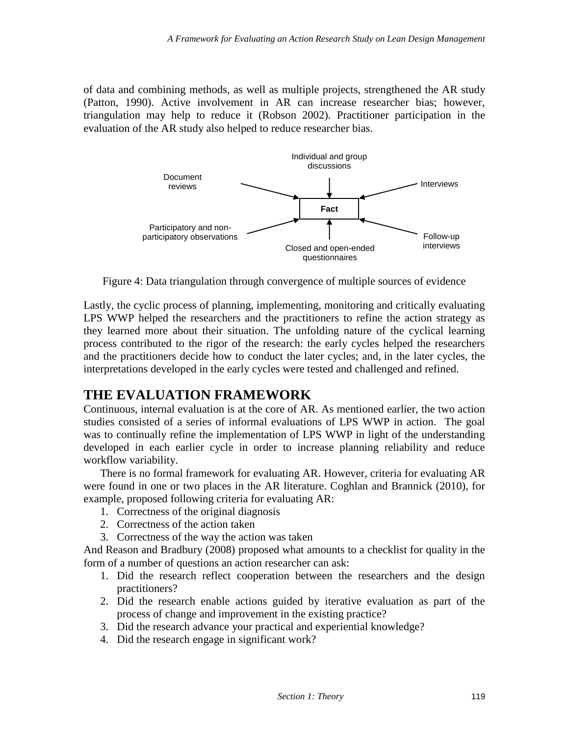of data and combining methods, as well as multiple projects, strengthened the AR study (Patton, 1990). Active involvement in AR can increase researcher bias; however, triangulation may help to reduce it (Robson 2002). Practitioner participation in the evaluation of the AR study also helped to reduce researcher bias.



Figure 4: Data triangulation through convergence of multiple sources of evidence

Lastly, the cyclic process of planning, implementing, monitoring and critically evaluating LPS WWP helped the researchers and the practitioners to refine the action strategy as they learned more about their situation. The unfolding nature of the cyclical learning process contributed to the rigor of the research: the early cycles helped the researchers and the practitioners decide how to conduct the later cycles; and, in the later cycles, the interpretations developed in the early cycles were tested and challenged and refined.

# **THE EVALUATION FRAMEWORK**

Continuous, internal evaluation is at the core of AR. As mentioned earlier, the two action studies consisted of a series of informal evaluations of LPS WWP in action. The goal was to continually refine the implementation of LPS WWP in light of the understanding developed in each earlier cycle in order to increase planning reliability and reduce workflow variability.

There is no formal framework for evaluating AR. However, criteria for evaluating AR were found in one or two places in the AR literature. Coghlan and Brannick (2010), for example, proposed following criteria for evaluating AR:

- 1. Correctness of the original diagnosis
- 2. Correctness of the action taken
- 3. Correctness of the way the action was taken

And Reason and Bradbury (2008) proposed what amounts to a checklist for quality in the form of a number of questions an action researcher can ask:

- 1. Did the research reflect cooperation between the researchers and the design practitioners?
- 2. Did the research enable actions guided by iterative evaluation as part of the process of change and improvement in the existing practice?
- 3. Did the research advance your practical and experiential knowledge?
- 4. Did the research engage in significant work?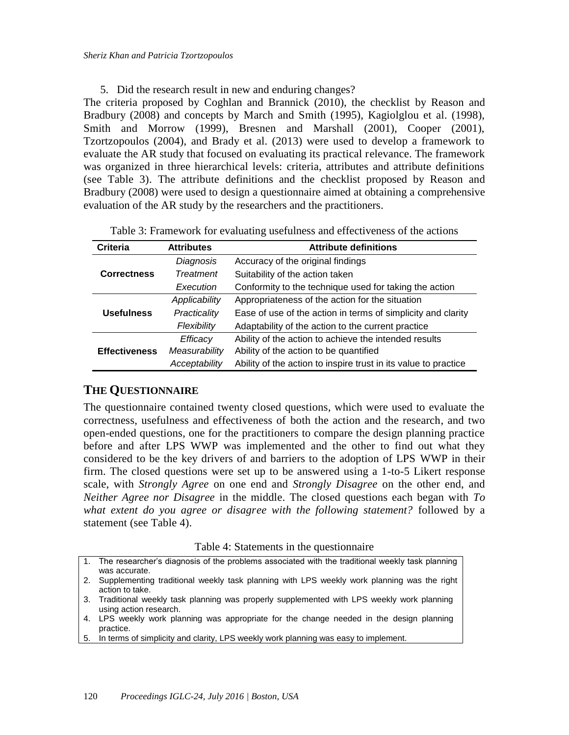5. Did the research result in new and enduring changes?

The criteria proposed by Coghlan and Brannick (2010), the checklist by Reason and Bradbury (2008) and concepts by March and Smith (1995), Kagiolglou et al. (1998), Smith and Morrow (1999), Bresnen and Marshall (2001), Cooper (2001), Tzortzopoulos (2004), and Brady et al. (2013) were used to develop a framework to evaluate the AR study that focused on evaluating its practical relevance. The framework was organized in three hierarchical levels: criteria, attributes and attribute definitions (see Table 3). The attribute definitions and the checklist proposed by Reason and Bradbury (2008) were used to design a questionnaire aimed at obtaining a comprehensive evaluation of the AR study by the researchers and the practitioners.

| <b>Criteria</b>      | <b>Attributes</b> | <b>Attribute definitions</b>                                    |
|----------------------|-------------------|-----------------------------------------------------------------|
|                      | Diagnosis         | Accuracy of the original findings                               |
| <b>Correctness</b>   | Treatment         | Suitability of the action taken                                 |
|                      | Execution         | Conformity to the technique used for taking the action          |
|                      | Applicability     | Appropriateness of the action for the situation                 |
| <b>Usefulness</b>    | Practicality      | Ease of use of the action in terms of simplicity and clarity    |
|                      | Flexibility       | Adaptability of the action to the current practice              |
|                      | Efficacy          | Ability of the action to achieve the intended results           |
| <b>Effectiveness</b> | Measurability     | Ability of the action to be quantified                          |
|                      | Acceptability     | Ability of the action to inspire trust in its value to practice |

Table 3: Framework for evaluating usefulness and effectiveness of the actions

#### **THE QUESTIONNAIRE**

The questionnaire contained twenty closed questions, which were used to evaluate the correctness, usefulness and effectiveness of both the action and the research, and two open-ended questions, one for the practitioners to compare the design planning practice before and after LPS WWP was implemented and the other to find out what they considered to be the key drivers of and barriers to the adoption of LPS WWP in their firm. The closed questions were set up to be answered using a 1-to-5 Likert response scale, with *Strongly Agree* on one end and *Strongly Disagree* on the other end, and *Neither Agree nor Disagree* in the middle. The closed questions each began with *To what extent do you agree or disagree with the following statement?* followed by a statement (see Table 4).

Table 4: Statements in the questionnaire

- 1. The researcher's diagnosis of the problems associated with the traditional weekly task planning was accurate.
- 2. Supplementing traditional weekly task planning with LPS weekly work planning was the right action to take.
- 3. Traditional weekly task planning was properly supplemented with LPS weekly work planning using action research.
- 4. LPS weekly work planning was appropriate for the change needed in the design planning practice.
- 5. In terms of simplicity and clarity, LPS weekly work planning was easy to implement.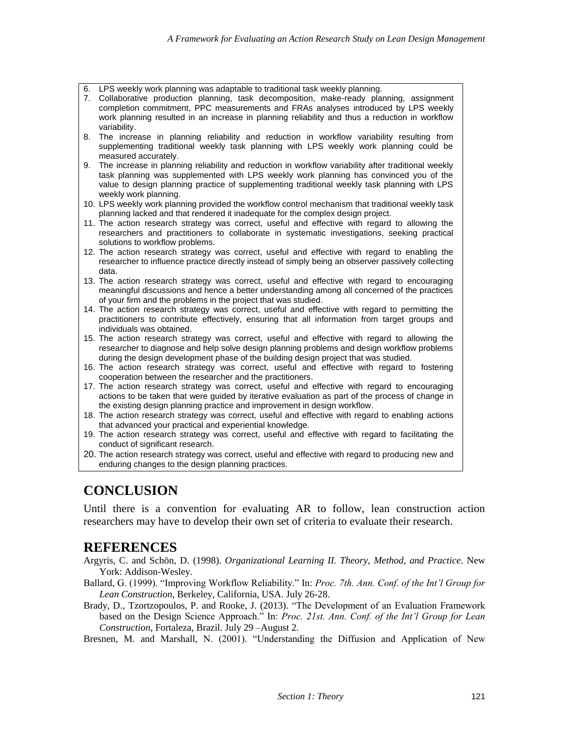- 6. LPS weekly work planning was adaptable to traditional task weekly planning.
- 7. Collaborative production planning, task decomposition, make-ready planning, assignment completion commitment, PPC measurements and FRAs analyses introduced by LPS weekly work planning resulted in an increase in planning reliability and thus a reduction in workflow variability.
- 8. The increase in planning reliability and reduction in workflow variability resulting from supplementing traditional weekly task planning with LPS weekly work planning could be measured accurately.
- 9. The increase in planning reliability and reduction in workflow variability after traditional weekly task planning was supplemented with LPS weekly work planning has convinced you of the value to design planning practice of supplementing traditional weekly task planning with LPS weekly work planning.
- 10. LPS weekly work planning provided the workflow control mechanism that traditional weekly task planning lacked and that rendered it inadequate for the complex design project.
- 11. The action research strategy was correct, useful and effective with regard to allowing the researchers and practitioners to collaborate in systematic investigations, seeking practical solutions to workflow problems.
- 12. The action research strategy was correct, useful and effective with regard to enabling the researcher to influence practice directly instead of simply being an observer passively collecting data.
- 13. The action research strategy was correct, useful and effective with regard to encouraging meaningful discussions and hence a better understanding among all concerned of the practices of your firm and the problems in the project that was studied.
- 14. The action research strategy was correct, useful and effective with regard to permitting the practitioners to contribute effectively, ensuring that all information from target groups and individuals was obtained.
- 15. The action research strategy was correct, useful and effective with regard to allowing the researcher to diagnose and help solve design planning problems and design workflow problems during the design development phase of the building design project that was studied.
- 16. The action research strategy was correct, useful and effective with regard to fostering cooperation between the researcher and the practitioners.
- 17. The action research strategy was correct, useful and effective with regard to encouraging actions to be taken that were guided by iterative evaluation as part of the process of change in the existing design planning practice and improvement in design workflow.
- 18. The action research strategy was correct, useful and effective with regard to enabling actions that advanced your practical and experiential knowledge.
- 19. The action research strategy was correct, useful and effective with regard to facilitating the conduct of significant research.
- 20. The action research strategy was correct, useful and effective with regard to producing new and enduring changes to the design planning practices.

# **CONCLUSION**

Until there is a convention for evaluating AR to follow, lean construction action researchers may have to develop their own set of criteria to evaluate their research.

#### **REFERENCES**

- Argyris, C. and Schön, D. (1998). *Organizational Learning II. Theory, Method, and Practice*. New York: Addison-Wesley.
- Ballard, G. (1999). "Improving Workflow Reliability." In: *Proc. 7th. Ann. Conf. of the Int'l Group for Lean Construction*, Berkeley, California, USA. July 26-28.
- Brady, D., Tzortzopoulos, P. and Rooke, J. (2013). "The Development of an Evaluation Framework based on the Design Science Approach." In: *Proc. 21st. Ann. Conf. of the Int'l Group for Lean Construction*, Fortaleza, Brazil. July 29 –August 2.

Bresnen, M. and Marshall, N. (2001). "Understanding the Diffusion and Application of New